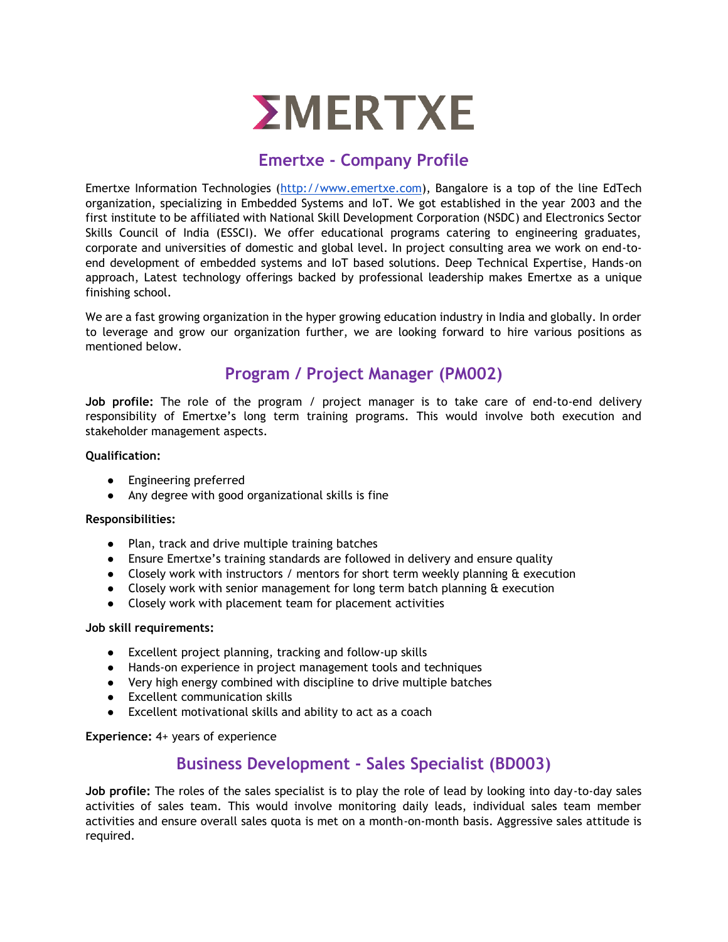

## **Emertxe - Company Profile**

Emertxe Information Technologies [\(http://www.emertxe.com\)](http://www.emertxe.com/), Bangalore is a top of the line EdTech organization, specializing in Embedded Systems and IoT. We got established in the year 2003 and the first institute to be affiliated with National Skill Development Corporation (NSDC) and Electronics Sector Skills Council of India (ESSCI). We offer educational programs catering to engineering graduates, corporate and universities of domestic and global level. In project consulting area we work on end-toend development of embedded systems and IoT based solutions. Deep Technical Expertise, Hands-on approach, Latest technology offerings backed by professional leadership makes Emertxe as a unique finishing school.

We are a fast growing organization in the hyper growing education industry in India and globally. In order to leverage and grow our organization further, we are looking forward to hire various positions as mentioned below.

# **Program / Project Manager (PM002)**

**Job profile:** The role of the program / project manager is to take care of end-to-end delivery responsibility of Emertxe's long term training programs. This would involve both execution and stakeholder management aspects.

#### **Qualification:**

- Engineering preferred
- Any degree with good organizational skills is fine

#### **Responsibilities:**

- Plan, track and drive multiple training batches
- Ensure Emertxe's training standards are followed in delivery and ensure quality
- Closely work with instructors / mentors for short term weekly planning & execution
- Closely work with senior management for long term batch planning & execution
- Closely work with placement team for placement activities

#### **Job skill requirements:**

- Excellent project planning, tracking and follow-up skills
- Hands-on experience in project management tools and techniques
- Very high energy combined with discipline to drive multiple batches
- Excellent communication skills
- Excellent motivational skills and ability to act as a coach

**Experience:** 4+ years of experience

## **Business Development - Sales Specialist (BD003)**

**Job profile:** The roles of the sales specialist is to play the role of lead by looking into day-to-day sales activities of sales team. This would involve monitoring daily leads, individual sales team member activities and ensure overall sales quota is met on a month-on-month basis. Aggressive sales attitude is required.